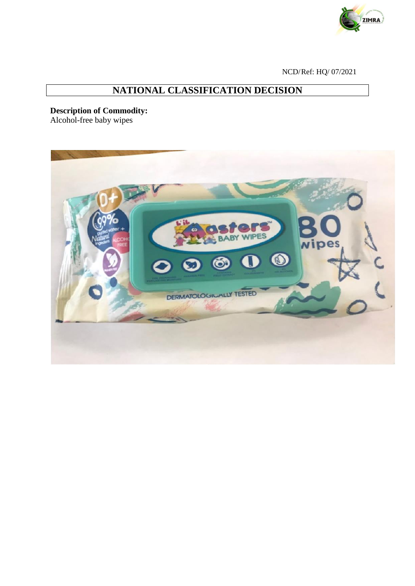

NCD/Ref: HQ/ 07/2021

## **NATIONAL CLASSIFICATION DECISION**

## **Description of Commodity:**

Alcohol-free baby wipes

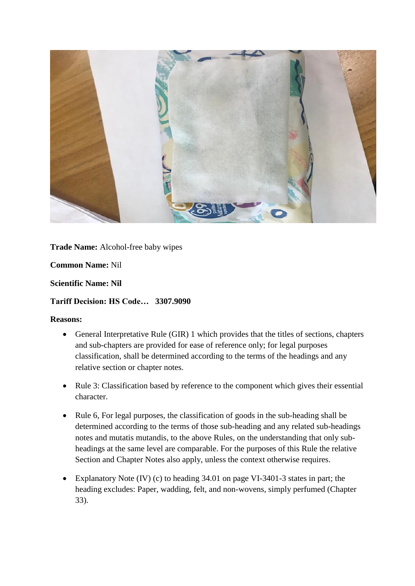

**Trade Name:** Alcohol-free baby wipes

**Common Name:** Nil

**Scientific Name: Nil**

## **Tariff Decision: HS Code… 3307.9090**

## **Reasons:**

- General Interpretative Rule (GIR) 1 which provides that the titles of sections, chapters and sub-chapters are provided for ease of reference only; for legal purposes classification, shall be determined according to the terms of the headings and any relative section or chapter notes.
- Rule 3: Classification based by reference to the component which gives their essential character.
- Rule 6, For legal purposes, the classification of goods in the sub-heading shall be determined according to the terms of those sub-heading and any related sub-headings notes and mutatis mutandis, to the above Rules, on the understanding that only subheadings at the same level are comparable. For the purposes of this Rule the relative Section and Chapter Notes also apply, unless the context otherwise requires.
- Explanatory Note (IV) (c) to heading 34.01 on page VI-3401-3 states in part; the heading excludes: Paper, wadding, felt, and non-wovens, simply perfumed (Chapter 33).